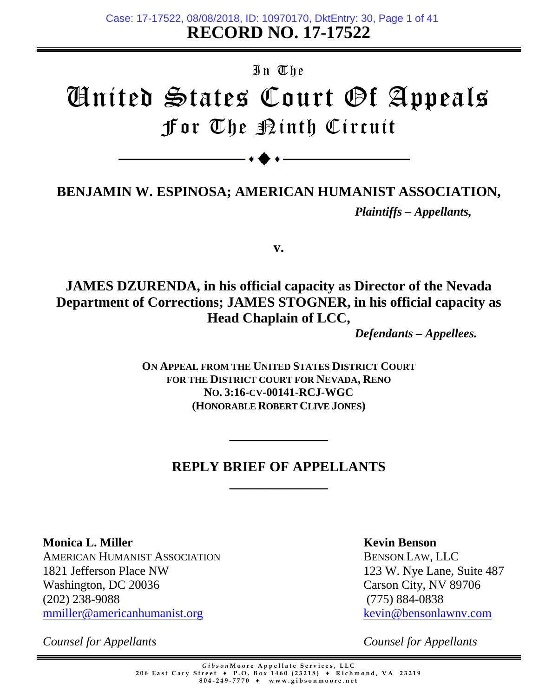**RECORD NO. 17-17522** Case: 17-17522, 08/08/2018, ID: 10970170, DktEntry: 30, Page 1 of 41

# In The United States Court Of Appeals For The Ninth Circuit

# **BENJAMIN W. ESPINOSA; AMERICAN HUMANIST ASSOCIATION,** *Plaintiffs – Appellants,*

**v.**

# **JAMES DZURENDA, in his official capacity as Director of the Nevada Department of Corrections; JAMES STOGNER, in his official capacity as Head Chaplain of LCC,**

*Defendants – Appellees.*

**ON APPEAL FROM THE UNITED STATES DISTRICT COURT FOR THE DISTRICT COURT FOR NEVADA, RENO NO. [3:16-CV-00141-RCJ-WGC](https://ecf.nvd.uscourts.gov/cgi-bin/DktRpt.pl?caseNumber=3:16-cv-00141-RCJ-WGC) (HONORABLE ROBERT CLIVE JONES)**

# **REPLY BRIEF OF APPELLANTS \_\_\_\_\_\_\_\_\_\_\_\_\_\_**

**\_\_\_\_\_\_\_\_\_\_\_\_\_\_**

**Monica L. Miller**  AMERICAN HUMANIST ASSOCIATION 1821 Jefferson Place NW Washington, DC 20036 (202) 238-9088 mmiller@americanhumanist.org

*Counsel for Appellants*

**Kevin Benson**

BENSON LAW, LLC 123 W. Nye Lane, Suite 487 Carson City, NV 89706 (775) 884-0838 [kevin@bensonlawnv.](mailto:kevin@bensonlawnv.com)com

*Counsel for Appellants*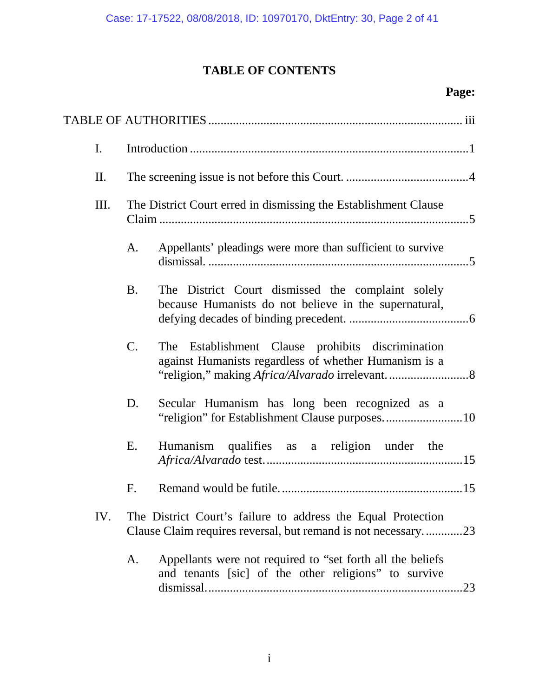# **TABLE OF CONTENTS**

## **Page:**

|  | $\mathbf{I}$ . |                                                                 |                                                                                                                               |  |  |
|--|----------------|-----------------------------------------------------------------|-------------------------------------------------------------------------------------------------------------------------------|--|--|
|  | II.            |                                                                 |                                                                                                                               |  |  |
|  | Ш.             | The District Court erred in dismissing the Establishment Clause |                                                                                                                               |  |  |
|  |                | A.                                                              | Appellants' pleadings were more than sufficient to survive                                                                    |  |  |
|  |                | <b>B.</b>                                                       | The District Court dismissed the complaint solely<br>because Humanists do not believe in the supernatural,                    |  |  |
|  |                | $\mathbf{C}$ .                                                  | The Establishment Clause prohibits discrimination<br>against Humanists regardless of whether Humanism is a                    |  |  |
|  |                | D.                                                              | Secular Humanism has long been recognized as a                                                                                |  |  |
|  |                | Ε.                                                              | Humanism qualifies as a religion under the                                                                                    |  |  |
|  |                | F.                                                              |                                                                                                                               |  |  |
|  | IV.            |                                                                 | The District Court's failure to address the Equal Protection<br>Clause Claim requires reversal, but remand is not necessary23 |  |  |
|  |                | A.                                                              | Appellants were not required to "set forth all the beliefs<br>and tenants [sic] of the other religions" to survive<br>.23     |  |  |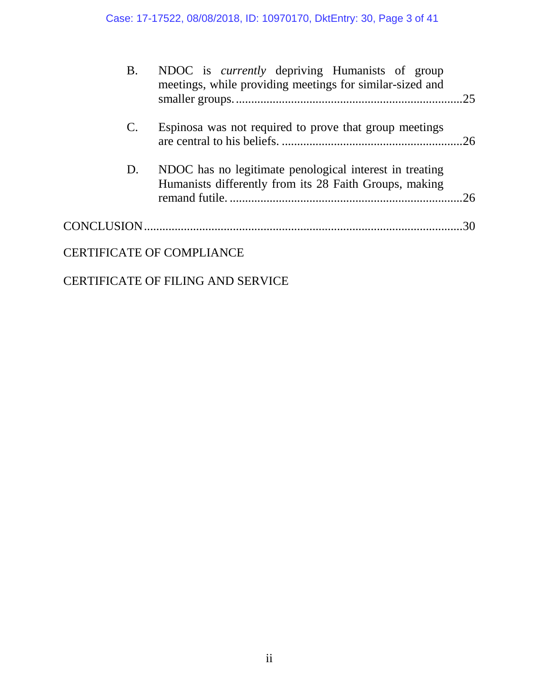| <b>B.</b>      | NDOC is <i>currently</i> depriving Humanists of group<br>meetings, while providing meetings for similar-sized and |  |
|----------------|-------------------------------------------------------------------------------------------------------------------|--|
| $\mathbf{C}$ . | Espinosa was not required to prove that group meetings                                                            |  |
| D.             | NDOC has no legitimate penological interest in treating<br>Humanists differently from its 28 Faith Groups, making |  |
|                |                                                                                                                   |  |
|                | <b>CERTIFICATE OF COMPLIANCE</b>                                                                                  |  |

### CERTIFICATE OF FILING AND SERVICE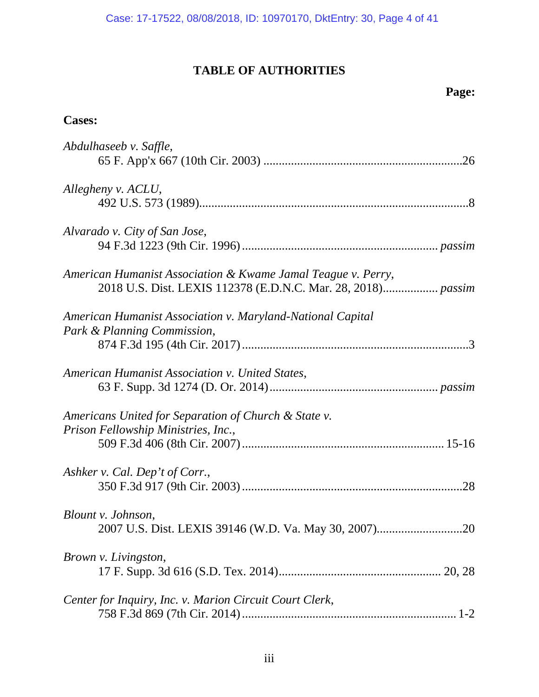## **TABLE OF AUTHORITIES**

## **Page:**

### <span id="page-3-0"></span>**Cases:**

| Abdulhaseeb v. Saffle,                                                                                                       |
|------------------------------------------------------------------------------------------------------------------------------|
| Allegheny v. ACLU,                                                                                                           |
| Alvarado v. City of San Jose,                                                                                                |
| American Humanist Association & Kwame Jamal Teague v. Perry,<br>2018 U.S. Dist. LEXIS 112378 (E.D.N.C. Mar. 28, 2018) passim |
| American Humanist Association v. Maryland-National Capital<br>Park & Planning Commission,                                    |
| American Humanist Association v. United States,                                                                              |
|                                                                                                                              |
| Americans United for Separation of Church & State v.<br>Prison Fellowship Ministries, Inc.,                                  |
|                                                                                                                              |
| Ashker v. Cal. Dep't of Corr.,                                                                                               |
| Blount v. Johnson,                                                                                                           |
| Brown v. Livingston,                                                                                                         |
| Center for Inquiry, Inc. v. Marion Circuit Court Clerk,                                                                      |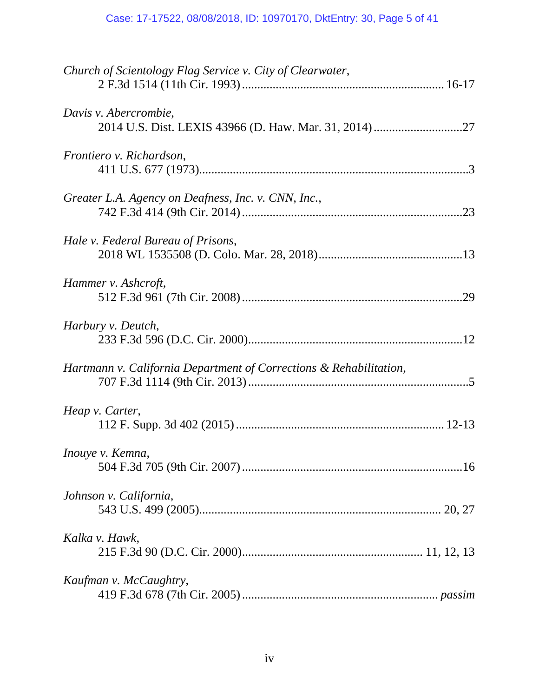## Case: 17-17522, 08/08/2018, ID: 10970170, DktEntry: 30, Page 5 of 41

| Church of Scientology Flag Service v. City of Clearwater,          |
|--------------------------------------------------------------------|
| Davis v. Abercrombie,                                              |
| Frontiero v. Richardson,                                           |
| Greater L.A. Agency on Deafness, Inc. v. CNN, Inc.,                |
| Hale v. Federal Bureau of Prisons,                                 |
| Hammer v. Ashcroft,                                                |
| Harbury v. Deutch,                                                 |
| Hartmann v. California Department of Corrections & Rehabilitation, |
| Heap v. Carter,                                                    |
| Inouye v. Kemna,                                                   |
| Johnson v. California,                                             |
| Kalka v. Hawk,                                                     |
| Kaufman v. McCaughtry,                                             |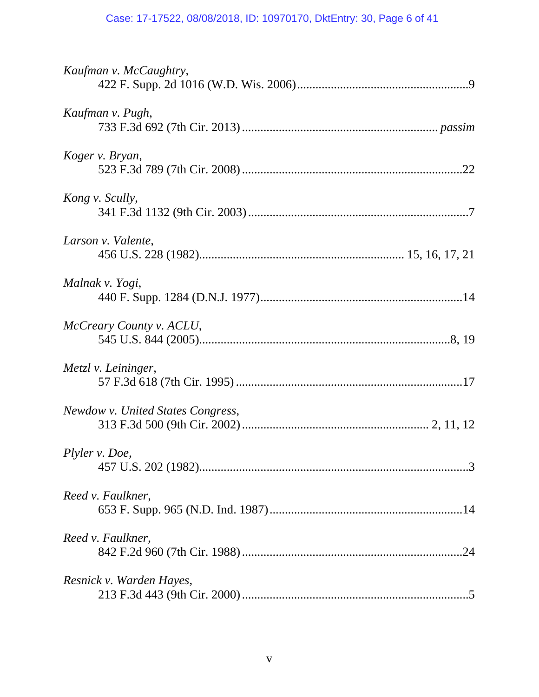## Case: 17-17522, 08/08/2018, ID: 10970170, DktEntry: 30, Page 6 of 41

| Kaufman v. McCaughtry,            |
|-----------------------------------|
| Kaufman v. Pugh,                  |
| Koger v. Bryan,                   |
| Kong v. Scully,                   |
| Larson v. Valente,                |
| Malnak v. Yogi,                   |
| McCreary County v. ACLU,          |
| Metzl v. Leininger,               |
| Newdow v. United States Congress, |
| Plyler v. Doe,                    |
| Reed v. Faulkner,                 |
| Reed v. Faulkner,                 |
| Resnick v. Warden Hayes,          |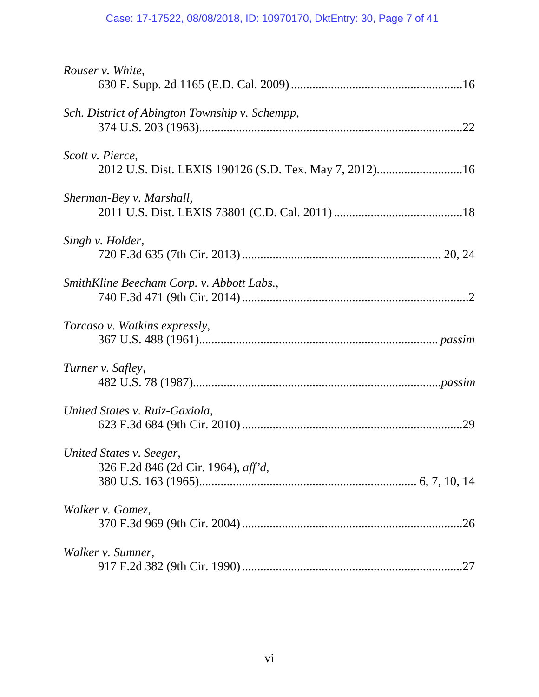## Case: 17-17522, 08/08/2018, ID: 10970170, DktEntry: 30, Page 7 of 41

| Rouser v. White,                                                |
|-----------------------------------------------------------------|
|                                                                 |
| Sch. District of Abington Township v. Schempp,                  |
| Scott v. Pierce,                                                |
| Sherman-Bey v. Marshall,                                        |
| Singh v. Holder,                                                |
| SmithKline Beecham Corp. v. Abbott Labs.,                       |
| <i>Torcaso v. Watkins expressly,</i>                            |
| Turner v. Safley,                                               |
| United States v. Ruiz-Gaxiola,                                  |
| United States v. Seeger,<br>326 F.2d 846 (2d Cir. 1964), aff'd, |
| Walker v. Gomez,<br>.26                                         |
| Walker v. Sumner,                                               |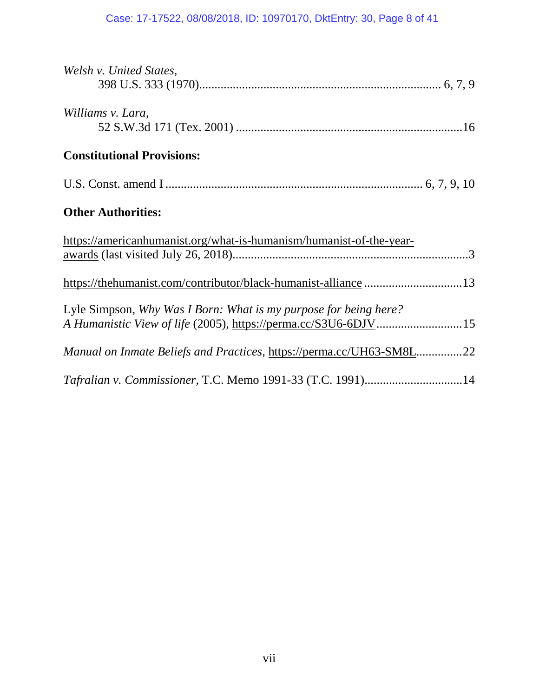### Case: 17-17522, 08/08/2018, ID: 10970170, DktEntry: 30, Page 8 of 41

| Welsh v. United States,                                              |
|----------------------------------------------------------------------|
|                                                                      |
| Williams v. Lara,                                                    |
|                                                                      |
| <b>Constitutional Provisions:</b>                                    |
|                                                                      |
| <b>Other Authorities:</b>                                            |
| https://americanhumanist.org/what-is-humanism/humanist-of-the-year-  |
|                                                                      |
| https://thehumanist.com/contributor/black-humanist-alliance  13      |
| Lyle Simpson, Why Was I Born: What is my purpose for being here?     |
| A Humanistic View of life (2005), https://perma.cc/S3U6-6DJV 15      |
| Manual on Inmate Beliefs and Practices, https://perma.cc/UH63-SM8L22 |
| Tafralian v. Commissioner, T.C. Memo 1991-33 (T.C. 1991)14           |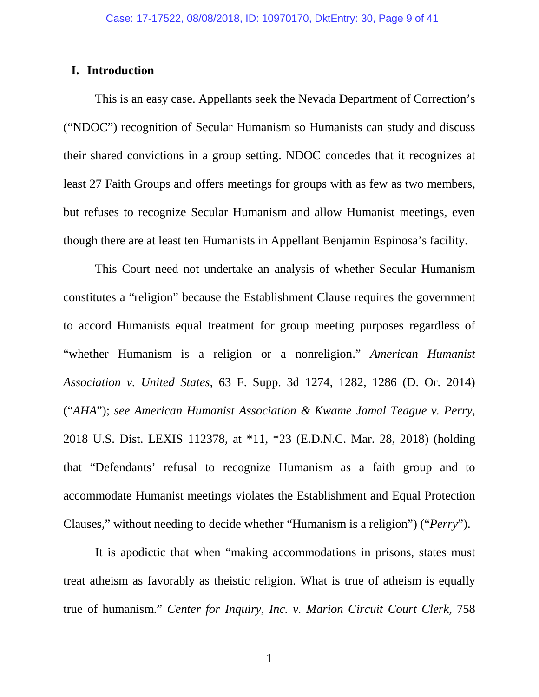#### <span id="page-8-0"></span>**I. Introduction**

This is an easy case. Appellants seek the Nevada Department of Correction's ("NDOC") recognition of Secular Humanism so Humanists can study and discuss their shared convictions in a group setting. NDOC concedes that it recognizes at least 27 Faith Groups and offers meetings for groups with as few as two members, but refuses to recognize Secular Humanism and allow Humanist meetings, even though there are at least ten Humanists in Appellant Benjamin Espinosa's facility.

This Court need not undertake an analysis of whether Secular Humanism constitutes a "religion" because the Establishment Clause requires the government to accord Humanists equal treatment for group meeting purposes regardless of "whether Humanism is a religion or a nonreligion." *American Humanist Association v. United States*, 63 F. Supp. 3d 1274, 1282, 1286 (D. Or. 2014) ("*AHA*"); *see American Humanist Association & Kwame Jamal Teague v. Perry*, 2018 U.S. Dist. LEXIS 112378, at \*11, \*23 (E.D.N.C. Mar. 28, 2018) (holding that "Defendants' refusal to recognize Humanism as a faith group and to accommodate Humanist meetings violates the Establishment and Equal Protection Clauses," without needing to decide whether "Humanism is a religion") ("*Perry*").

It is apodictic that when "making accommodations in prisons, states must treat atheism as favorably as theistic religion. What is true of atheism is equally true of humanism." *Center for Inquiry, Inc. v. Marion Circuit Court Clerk*, 758

1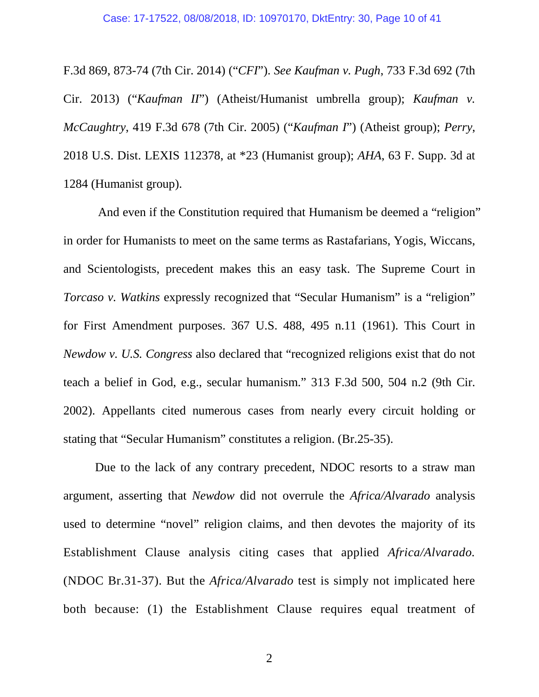F.3d 869, 873-74 (7th Cir. 2014) ("*CFI*"). *See Kaufman v. Pugh*, 733 F.3d 692 (7th Cir. 2013) ("*Kaufman II*") (Atheist/Humanist umbrella group); *Kaufman v. McCaughtry*, 419 F.3d 678 (7th Cir. 2005) ("*Kaufman I*") (Atheist group); *Perry*, 2018 U.S. Dist. LEXIS 112378, at \*23 (Humanist group); *AHA*, 63 F. Supp. 3d at 1284 (Humanist group).

And even if the Constitution required that Humanism be deemed a "religion" in order for Humanists to meet on the same terms as Rastafarians, Yogis, Wiccans, and Scientologists, precedent makes this an easy task. The Supreme Court in *Torcaso v. Watkins* expressly recognized that "Secular Humanism" is a "religion" for First Amendment purposes. 367 U.S. 488, 495 n.11 (1961). This Court in *Newdow v. U.S. Congress* also declared that "recognized religions exist that do not teach a belief in God, e.g., secular humanism." 313 F.3d 500, 504 n.2 (9th Cir. 2002). Appellants cited numerous cases from nearly every circuit holding or stating that "Secular Humanism" constitutes a religion. (Br.25-35).

Due to the lack of any contrary precedent, NDOC resorts to a straw man argument, asserting that *Newdow* did not overrule the *Africa/Alvarado* analysis used to determine "novel" religion claims, and then devotes the majority of its Establishment Clause analysis citing cases that applied *Africa/Alvarado.*  (NDOC Br.31-37). But the *Africa/Alvarado* test is simply not implicated here both because: (1) the Establishment Clause requires equal treatment of

2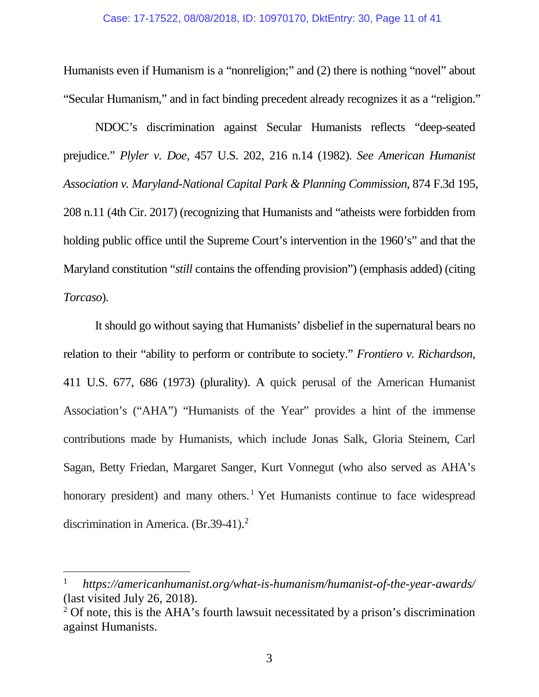Humanists even if Humanism is a "nonreligion;" and (2) there is nothing "novel" about "Secular Humanism," and in fact binding precedent already recognizes it as a "religion."

NDOC's discrimination against Secular Humanists reflects "deep-seated prejudice." *Plyler v. Doe*, 457 U.S. 202, 216 n.14 (1982). *See American Humanist Association v. Maryland-National Capital Park & Planning Commission*, 874 F.3d 195, 208 n.11 (4th Cir. 2017) (recognizing that Humanists and "atheists were forbidden from holding public office until the Supreme Court's intervention in the 1960's" and that the Maryland constitution "*still* contains the offending provision") (emphasis added) (citing *Torcaso*).

It should go without saying that Humanists' disbelief in the supernatural bears no relation to their "ability to perform or contribute to society." *Frontiero v. Richardson*, 411 U.S. 677, 686 (1973) (plurality). A quick perusal of the American Humanist Association's ("AHA") "Humanists of the Year" provides a hint of the immense contributions made by Humanists, which include Jonas Salk, Gloria Steinem, Carl Sagan, Betty Friedan, Margaret Sanger, Kurt Vonnegut (who also served as AHA's honorary president) and many others.<sup>[1](#page-10-0)</sup> Yet Humanists continue to face widespread discrimination in America. (Br.39-41). [2](#page-10-1)

 $\overline{a}$ 

<span id="page-10-0"></span><sup>1</sup> *https://americanhumanist.org/what-is-humanism/humanist-of-the-year-awards/* (last visited July 26, 2018).

<span id="page-10-1"></span> $2^2$  Of note, this is the AHA's fourth lawsuit necessitated by a prison's discrimination against Humanists.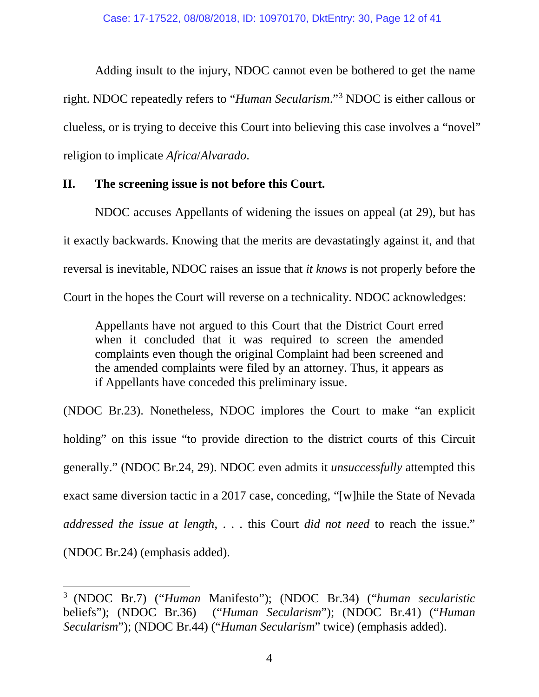Adding insult to the injury, NDOC cannot even be bothered to get the name right. NDOC repeatedly refers to "*Human Secularism*."[3](#page-11-1) NDOC is either callous or clueless, or is trying to deceive this Court into believing this case involves a "novel" religion to implicate *Africa*/*Alvarado*.

#### <span id="page-11-0"></span>**II. The screening issue is not before this Court.**

 $\overline{a}$ 

NDOC accuses Appellants of widening the issues on appeal (at 29), but has it exactly backwards. Knowing that the merits are devastatingly against it, and that reversal is inevitable, NDOC raises an issue that *it knows* is not properly before the Court in the hopes the Court will reverse on a technicality. NDOC acknowledges:

Appellants have not argued to this Court that the District Court erred when it concluded that it was required to screen the amended complaints even though the original Complaint had been screened and the amended complaints were filed by an attorney. Thus, it appears as if Appellants have conceded this preliminary issue.

(NDOC Br.23). Nonetheless, NDOC implores the Court to make "an explicit holding" on this issue "to provide direction to the district courts of this Circuit generally." (NDOC Br.24, 29). NDOC even admits it *unsuccessfully* attempted this exact same diversion tactic in a 2017 case, conceding, "[w]hile the State of Nevada *addressed the issue at length*, . . . this Court *did not need* to reach the issue." (NDOC Br.24) (emphasis added).

<span id="page-11-1"></span><sup>3</sup> (NDOC Br.7) ("*Human* Manifesto"); (NDOC Br.34) ("*human secularistic* beliefs"); (NDOC Br.36) ("*Human Secularism*"); (NDOC Br.41) ("*Human Secularism*"); (NDOC Br.44) ("*Human Secularism*" twice) (emphasis added).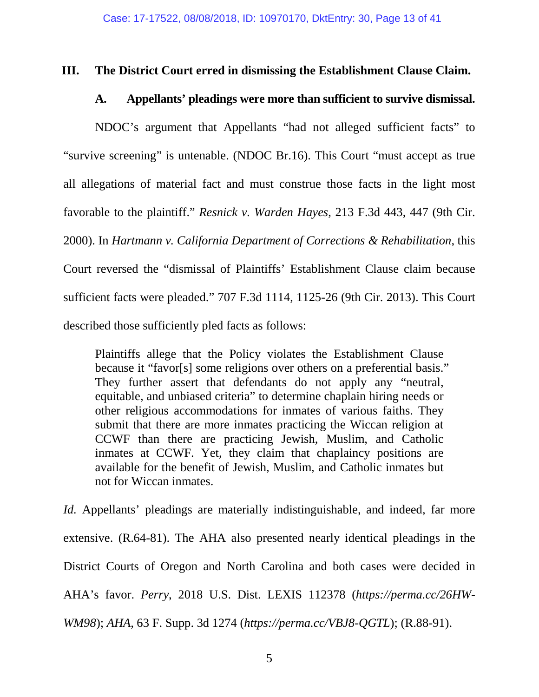#### <span id="page-12-1"></span><span id="page-12-0"></span>**III. The District Court erred in dismissing the Establishment Clause Claim.**

#### **A. Appellants' pleadings were more than sufficient to survive dismissal.**

NDOC's argument that Appellants "had not alleged sufficient facts" to "survive screening" is untenable. (NDOC Br.16). This Court "must accept as true all allegations of material fact and must construe those facts in the light most favorable to the plaintiff." *Resnick v. Warden Hayes*, 213 F.3d 443, 447 (9th Cir. 2000). In *Hartmann v. California Department of Corrections & Rehabilitation*, this Court reversed the "dismissal of Plaintiffs' Establishment Clause claim because sufficient facts were pleaded." 707 F.3d 1114, 1125-26 (9th Cir. 2013). This Court described those sufficiently pled facts as follows:

Plaintiffs allege that the Policy violates the Establishment Clause because it "favor[s] some religions over others on a preferential basis." They further assert that defendants do not apply any "neutral, equitable, and unbiased criteria" to determine chaplain hiring needs or other religious accommodations for inmates of various faiths. They submit that there are more inmates practicing the Wiccan religion at CCWF than there are practicing Jewish, Muslim, and Catholic inmates at CCWF. Yet, they claim that chaplaincy positions are available for the benefit of Jewish, Muslim, and Catholic inmates but not for Wiccan inmates.

*Id.* Appellants' pleadings are materially indistinguishable, and indeed, far more extensive. (R.64-81). The AHA also presented nearly identical pleadings in the District Courts of Oregon and North Carolina and both cases were decided in AHA's favor. *Perry*, 2018 U.S. Dist. LEXIS 112378 (*https://perma.cc/26HW-WM98*); *AHA*, 63 F. Supp. 3d 1274 (*https://perma.cc/VBJ8-QGTL*); (R.88-91).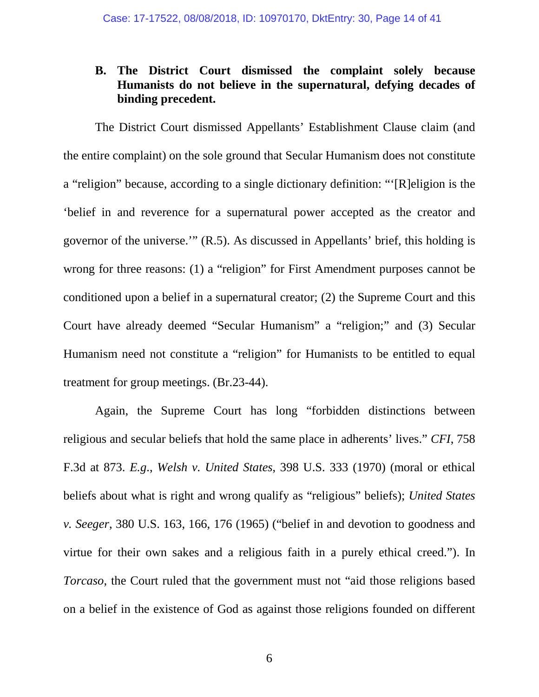#### <span id="page-13-0"></span>**B. The District Court dismissed the complaint solely because Humanists do not believe in the supernatural, defying decades of binding precedent.**

The District Court dismissed Appellants' Establishment Clause claim (and the entire complaint) on the sole ground that Secular Humanism does not constitute a "religion" because, according to a single dictionary definition: "'[R]eligion is the 'belief in and reverence for a supernatural power accepted as the creator and governor of the universe.'" (R.5). As discussed in Appellants' brief, this holding is wrong for three reasons: (1) a "religion" for First Amendment purposes cannot be conditioned upon a belief in a supernatural creator; (2) the Supreme Court and this Court have already deemed "Secular Humanism" a "religion;" and (3) Secular Humanism need not constitute a "religion" for Humanists to be entitled to equal treatment for group meetings. (Br.23-44).

Again, the Supreme Court has long "forbidden distinctions between religious and secular beliefs that hold the same place in adherents' lives." *CFI*, 758 F.3d at 873. *E.g*., *Welsh v. United States*, 398 U.S. 333 (1970) (moral or ethical beliefs about what is right and wrong qualify as "religious" beliefs); *United States v. Seeger*, 380 U.S. 163, 166, 176 (1965) ("belief in and devotion to goodness and virtue for their own sakes and a religious faith in a purely ethical creed."). In *Torcaso*, the Court ruled that the government must not "aid those religions based on a belief in the existence of God as against those religions founded on different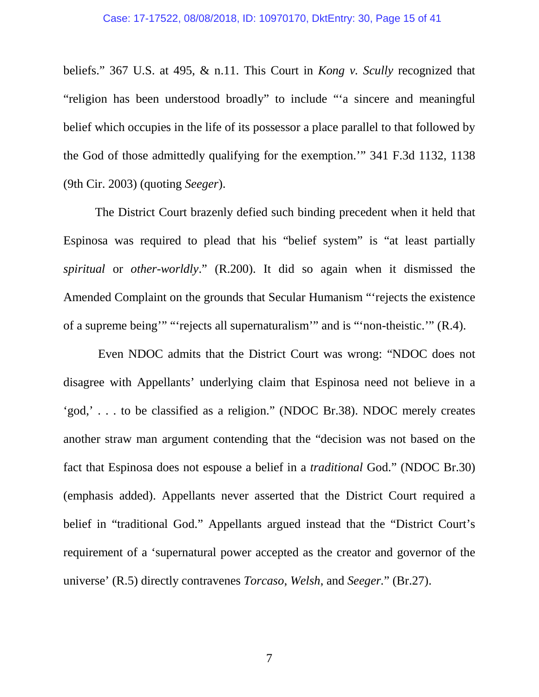beliefs." 367 U.S. at 495, & n.11. This Court in *Kong v. Scully* recognized that "religion has been understood broadly" to include "'a sincere and meaningful belief which occupies in the life of its possessor a place parallel to that followed by the God of those admittedly qualifying for the exemption.'" 341 F.3d 1132, 1138 (9th Cir. 2003) (quoting *Seeger*).

The District Court brazenly defied such binding precedent when it held that Espinosa was required to plead that his "belief system" is "at least partially *spiritual* or *other-worldly*." (R.200). It did so again when it dismissed the Amended Complaint on the grounds that Secular Humanism "'rejects the existence of a supreme being'" "'rejects all supernaturalism'" and is "'non-theistic.'" (R.4).

 Even NDOC admits that the District Court was wrong: "NDOC does not disagree with Appellants' underlying claim that Espinosa need not believe in a 'god,' . . . to be classified as a religion." (NDOC Br.38). NDOC merely creates another straw man argument contending that the "decision was not based on the fact that Espinosa does not espouse a belief in a *traditional* God." (NDOC Br.30) (emphasis added). Appellants never asserted that the District Court required a belief in "traditional God." Appellants argued instead that the "District Court's requirement of a 'supernatural power accepted as the creator and governor of the universe' (R.5) directly contravenes *Torcaso*, *Welsh*, and *Seeger.*" (Br.27).

7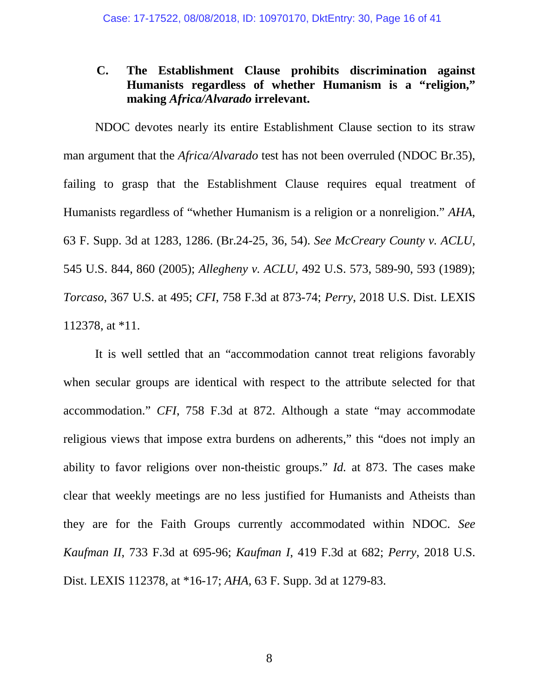#### <span id="page-15-0"></span>**C. The Establishment Clause prohibits discrimination against Humanists regardless of whether Humanism is a "religion," making** *Africa/Alvarado* **irrelevant.**

NDOC devotes nearly its entire Establishment Clause section to its straw man argument that the *Africa/Alvarado* test has not been overruled (NDOC Br.35), failing to grasp that the Establishment Clause requires equal treatment of Humanists regardless of "whether Humanism is a religion or a nonreligion." *AHA*, 63 F. Supp. 3d at 1283, 1286. (Br.24-25, 36, 54). *See McCreary County v. ACLU*, 545 U.S. 844, 860 (2005); *Allegheny v. ACLU*, 492 U.S. 573, 589-90, 593 (1989); *Torcaso*, 367 U.S. at 495; *CFI*, 758 F.3d at 873-74; *Perry*, 2018 U.S. Dist. LEXIS 112378, at \*11.

It is well settled that an "accommodation cannot treat religions favorably when secular groups are identical with respect to the attribute selected for that accommodation." *CFI*, 758 F.3d at 872. Although a state "may accommodate religious views that impose extra burdens on adherents," this "does not imply an ability to favor religions over non-theistic groups." *Id.* at 873. The cases make clear that weekly meetings are no less justified for Humanists and Atheists than they are for the Faith Groups currently accommodated within NDOC. *See Kaufman II*, 733 F.3d at 695-96; *Kaufman I*, 419 F.3d at 682; *Perry*, 2018 U.S. Dist. LEXIS 112378, at \*16-17; *AHA*, 63 F. Supp. 3d at 1279-83.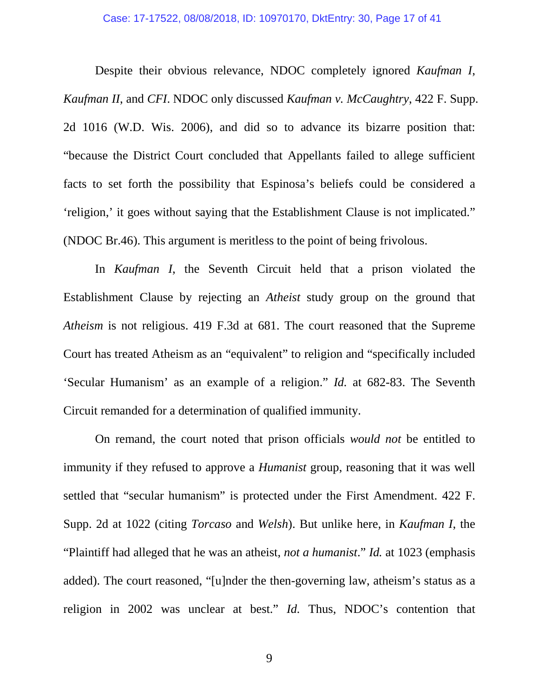Despite their obvious relevance, NDOC completely ignored *Kaufman I*, *Kaufman II*, and *CFI*. NDOC only discussed *Kaufman v. McCaughtry*, 422 F. Supp. 2d 1016 (W.D. Wis. 2006), and did so to advance its bizarre position that: "because the District Court concluded that Appellants failed to allege sufficient facts to set forth the possibility that Espinosa's beliefs could be considered a 'religion,' it goes without saying that the Establishment Clause is not implicated." (NDOC Br.46). This argument is meritless to the point of being frivolous.

In *Kaufman I*, the Seventh Circuit held that a prison violated the Establishment Clause by rejecting an *Atheist* study group on the ground that *Atheism* is not religious. 419 F.3d at 681. The court reasoned that the Supreme Court has treated Atheism as an "equivalent" to religion and "specifically included 'Secular Humanism' as an example of a religion." *Id.* at 682-83. The Seventh Circuit remanded for a determination of qualified immunity.

On remand, the court noted that prison officials *would not* be entitled to immunity if they refused to approve a *Humanist* group, reasoning that it was well settled that "secular humanism" is protected under the First Amendment. 422 F. Supp. 2d at 1022 (citing *Torcaso* and *Welsh*). But unlike here, in *Kaufman I*, the "Plaintiff had alleged that he was an atheist, *not a humanist*." *Id.* at 1023 (emphasis added). The court reasoned, "[u]nder the then-governing law, atheism's status as a religion in 2002 was unclear at best." *Id.* Thus, NDOC's contention that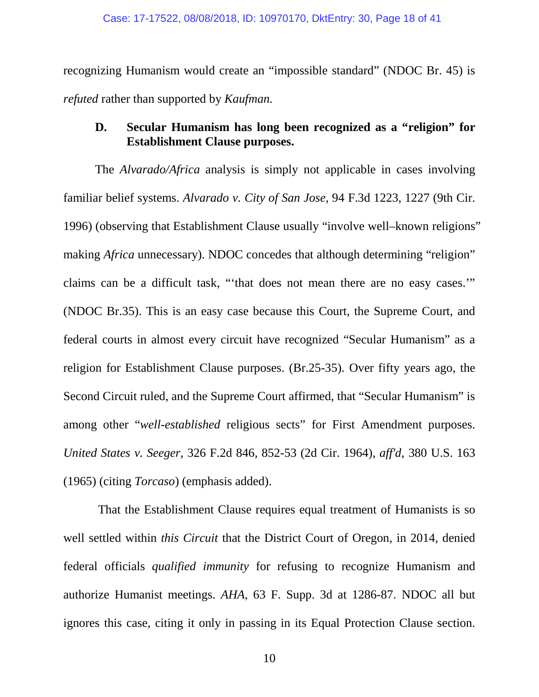recognizing Humanism would create an "impossible standard" (NDOC Br. 45) is *refuted* rather than supported by *Kaufman.* 

### <span id="page-17-0"></span>**D. Secular Humanism has long been recognized as a "religion" for Establishment Clause purposes.**

The *Alvarado/Africa* analysis is simply not applicable in cases involving familiar belief systems. *Alvarado v. City of San Jose*, 94 F.3d 1223, 1227 (9th Cir. 1996) (observing that Establishment Clause usually "involve well–known religions" making *Africa* unnecessary). NDOC concedes that although determining "religion" claims can be a difficult task, "'that does not mean there are no easy cases.'" (NDOC Br.35). This is an easy case because this Court, the Supreme Court, and federal courts in almost every circuit have recognized "Secular Humanism" as a religion for Establishment Clause purposes. (Br.25-35). Over fifty years ago, the Second Circuit ruled, and the Supreme Court affirmed, that "Secular Humanism" is among other "*well-established* religious sects" for First Amendment purposes. *United States v. Seeger*, 326 F.2d 846, 852-53 (2d Cir. 1964), *aff'd*, 380 U.S. 163 (1965) (citing *Torcaso*) (emphasis added).

That the Establishment Clause requires equal treatment of Humanists is so well settled within *this Circuit* that the District Court of Oregon, in 2014, denied federal officials *qualified immunity* for refusing to recognize Humanism and authorize Humanist meetings. *AHA*, 63 F. Supp. 3d at 1286-87. NDOC all but ignores this case, citing it only in passing in its Equal Protection Clause section.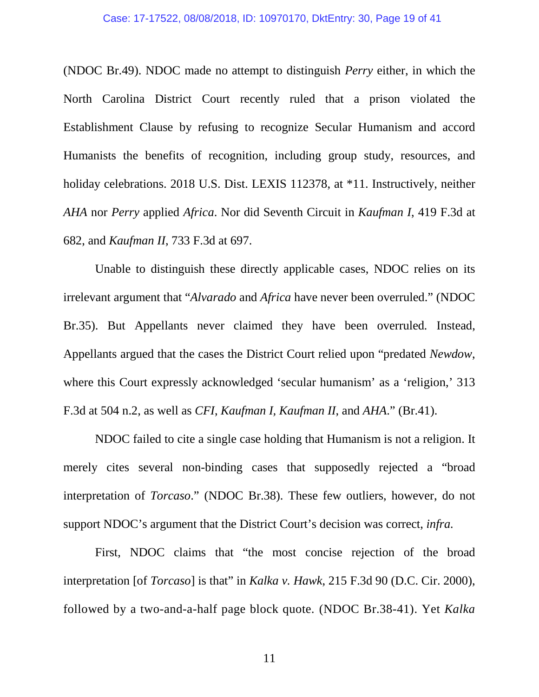(NDOC Br.49). NDOC made no attempt to distinguish *Perry* either, in which the North Carolina District Court recently ruled that a prison violated the Establishment Clause by refusing to recognize Secular Humanism and accord Humanists the benefits of recognition, including group study, resources, and holiday celebrations. 2018 U.S. Dist. LEXIS 112378, at \*11. Instructively, neither *AHA* nor *Perry* applied *Africa*. Nor did Seventh Circuit in *Kaufman I*, 419 F.3d at 682, and *Kaufman II*, 733 F.3d at 697.

Unable to distinguish these directly applicable cases, NDOC relies on its irrelevant argument that "*Alvarado* and *Africa* have never been overruled." (NDOC Br.35). But Appellants never claimed they have been overruled*.* Instead, Appellants argued that the cases the District Court relied upon "predated *Newdow*, where this Court expressly acknowledged 'secular humanism' as a 'religion,' 313 F.3d at 504 n.2, as well as *CFI*, *Kaufman I, Kaufman II*, and *AHA*." (Br.41).

NDOC failed to cite a single case holding that Humanism is not a religion. It merely cites several non-binding cases that supposedly rejected a "broad interpretation of *Torcaso*." (NDOC Br.38). These few outliers, however, do not support NDOC's argument that the District Court's decision was correct, *infra.*

First, NDOC claims that "the most concise rejection of the broad interpretation [of *Torcaso*] is that" in *Kalka v. Hawk*, 215 F.3d 90 (D.C. Cir. 2000), followed by a two-and-a-half page block quote*.* (NDOC Br.38-41). Yet *Kalka*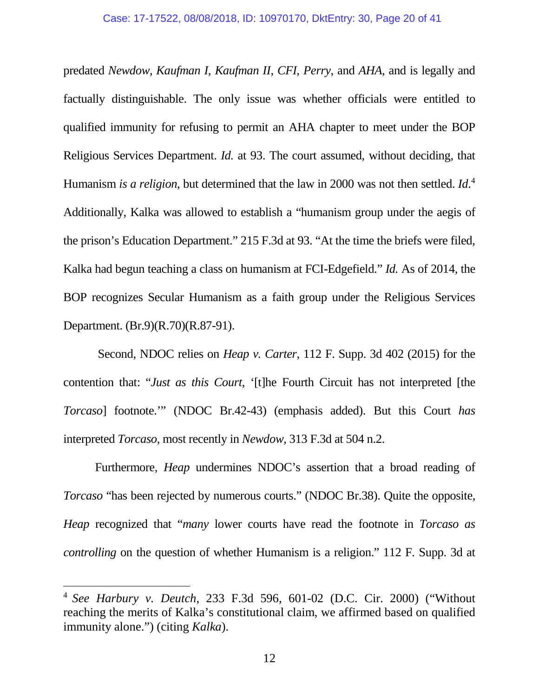predated *Newdow*, *Kaufman I*, *Kaufman II*, *CFI*, *Perry*, and *AHA*, and is legally and factually distinguishable. The only issue was whether officials were entitled to qualified immunity for refusing to permit an AHA chapter to meet under the BOP Religious Services Department. *Id.* at 93. The court assumed, without deciding, that Humanism *is a religion*, but determined that the law in 2000 was not then settled. *Id*. [4](#page-19-0) Additionally, Kalka was allowed to establish a "humanism group under the aegis of the prison's Education Department." 215 F.3d at 93. "At the time the briefs were filed, Kalka had begun teaching a class on humanism at FCI-Edgefield." *Id.* As of 2014, the BOP recognizes Secular Humanism as a faith group under the Religious Services Department. (Br.9)(R.70)(R.87-91).

Second, NDOC relies on *Heap v. Carter*, 112 F. Supp. 3d 402 (2015) for the contention that: "*Just as this Court*, '[t]he Fourth Circuit has not interpreted [the *Torcaso*] footnote.'" (NDOC Br.42-43) (emphasis added). But this Court *has*  interpreted *Torcaso*, most recently in *Newdow*, 313 F.3d at 504 n.2.

Furthermore, *Heap* undermines NDOC's assertion that a broad reading of *Torcaso* "has been rejected by numerous courts." (NDOC Br.38). Quite the opposite, *Heap* recognized that "*many* lower courts have read the footnote in *Torcaso as controlling* on the question of whether Humanism is a religion." 112 F. Supp. 3d at

 $\overline{a}$ 

<span id="page-19-0"></span><sup>4</sup> *See Harbury v. Deutch*, 233 F.3d 596, 601-02 (D.C. Cir. 2000) ("Without reaching the merits of Kalka's constitutional claim, we affirmed based on qualified immunity alone.") (citing *Kalka*).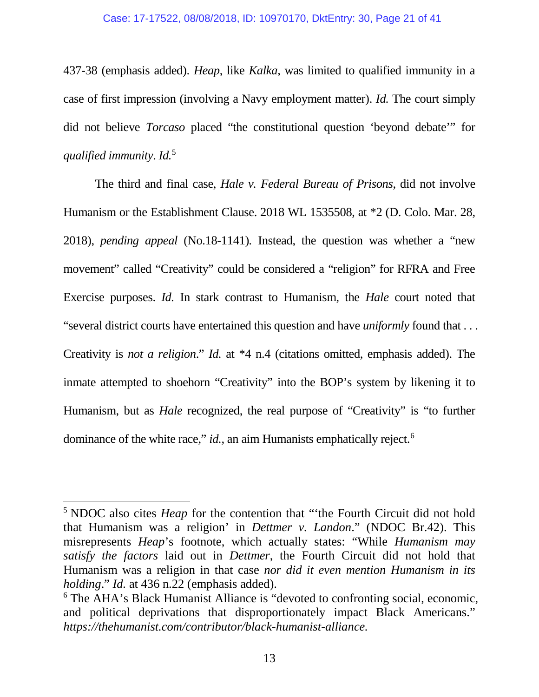437-38 (emphasis added). *Heap*, like *Kalka*, was limited to qualified immunity in a case of first impression (involving a Navy employment matter). *Id.* The court simply did not believe *Torcaso* placed "the constitutional question 'beyond debate'" for *qualified immunity*. *Id.* [5](#page-20-0)

 The third and final case, *Hale v. Federal Bureau of Prisons*, did not involve Humanism or the Establishment Clause. 2018 WL 1535508, at \*2 (D. Colo. Mar. 28, 2018), *pending appeal* (No.18-1141)*.* Instead, the question was whether a "new movement" called "Creativity" could be considered a "religion" for RFRA and Free Exercise purposes. *Id.* In stark contrast to Humanism, the *Hale* court noted that "several district courts have entertained this question and have *uniformly* found that . . . Creativity is *not a religion*." *Id.* at \*4 n.4 (citations omitted, emphasis added). The inmate attempted to shoehorn "Creativity" into the BOP's system by likening it to Humanism, but as *Hale* recognized, the real purpose of "Creativity" is "to further dominance of the white race," *id.*, an aim Humanists emphatically reject.<sup>6</sup>

 $\overline{a}$ 

<span id="page-20-0"></span><sup>&</sup>lt;sup>5</sup> NDOC also cites *Heap* for the contention that "the Fourth Circuit did not hold that Humanism was a religion' in *Dettmer v. Landon*." (NDOC Br.42). This misrepresents *Heap*'s footnote, which actually states: "While *Humanism may satisfy the factors* laid out in *Dettmer*, the Fourth Circuit did not hold that Humanism was a religion in that case *nor did it even mention Humanism in its holding*." *Id.* at 436 n.22 (emphasis added).

<span id="page-20-1"></span><sup>6</sup> The AHA's Black Humanist Alliance is "devoted to confronting social, economic, and political deprivations that disproportionately impact Black Americans." *https://thehumanist.com/contributor/black-humanist-alliance.*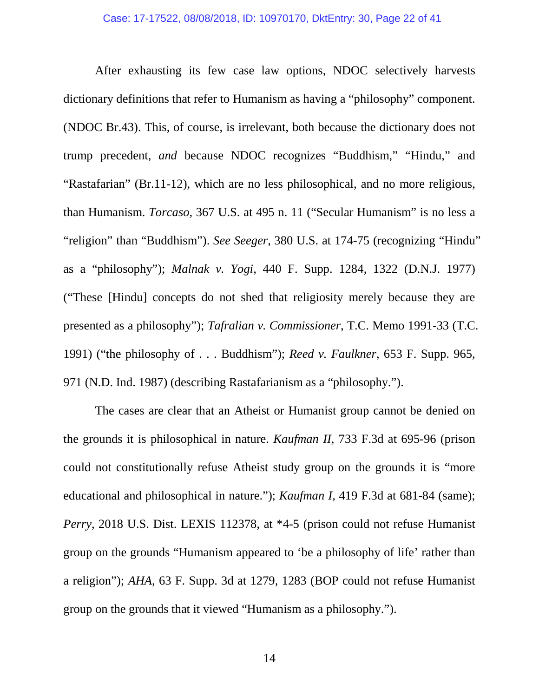After exhausting its few case law options, NDOC selectively harvests dictionary definitions that refer to Humanism as having a "philosophy" component. (NDOC Br.43). This, of course, is irrelevant, both because the dictionary does not trump precedent, *and* because NDOC recognizes "Buddhism," "Hindu," and "Rastafarian" (Br.11-12), which are no less philosophical, and no more religious, than Humanism. *Torcaso*, 367 U.S. at 495 n. 11 ("Secular Humanism" is no less a "religion" than "Buddhism"). *See Seeger*, 380 U.S. at 174-75 (recognizing "Hindu" as a "philosophy"); *Malnak v. Yogi*, 440 F. Supp. 1284, 1322 (D.N.J. 1977) ("These [Hindu] concepts do not shed that religiosity merely because they are presented as a philosophy"); *Tafralian v. Commissioner*, T.C. Memo 1991-33 (T.C. 1991) ("the philosophy of . . . Buddhism"); *Reed v. Faulkner*, 653 F. Supp. 965, 971 (N.D. Ind. 1987) (describing Rastafarianism as a "philosophy.").

The cases are clear that an Atheist or Humanist group cannot be denied on the grounds it is philosophical in nature. *Kaufman II*, 733 F.3d at 695-96 (prison could not constitutionally refuse Atheist study group on the grounds it is "more educational and philosophical in nature."); *Kaufman I*, 419 F.3d at 681-84 (same); *Perry*, 2018 U.S. Dist. LEXIS 112378, at \*4-5 (prison could not refuse Humanist group on the grounds "Humanism appeared to 'be a philosophy of life' rather than a religion"); *AHA*, 63 F. Supp. 3d at 1279, 1283 (BOP could not refuse Humanist group on the grounds that it viewed "Humanism as a philosophy.").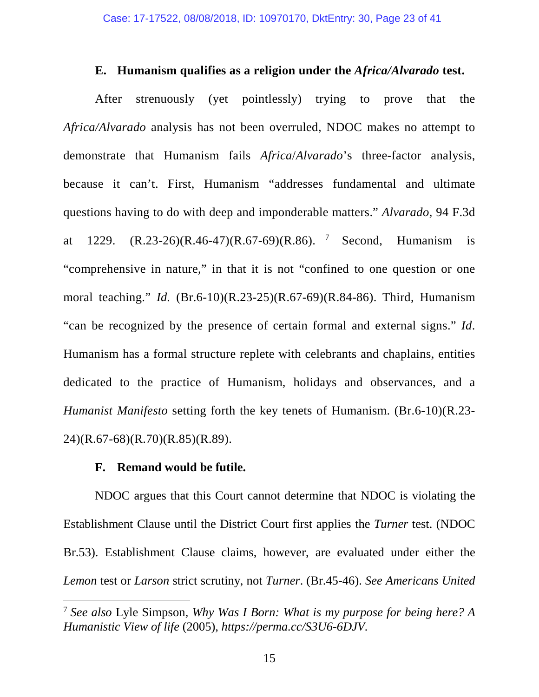#### **E. Humanism qualifies as a religion under the** *Africa/Alvarado* **test.**

<span id="page-22-0"></span>After strenuously (yet pointlessly) trying to prove that the *Africa/Alvarado* analysis has not been overruled, NDOC makes no attempt to demonstrate that Humanism fails *Africa*/*Alvarado*'s three-factor analysis, because it can't. First, Humanism "addresses fundamental and ultimate questions having to do with deep and imponderable matters." *Alvarado*, 94 F.3d at 1229.  $(R.23-26)(R.46-47)(R.67-69)(R.86)$  $(R.23-26)(R.46-47)(R.67-69)(R.86)$  $(R.23-26)(R.46-47)(R.67-69)(R.86)$ . <sup>7</sup> Second, Humanism is "comprehensive in nature," in that it is not "confined to one question or one moral teaching." *Id.* (Br.6-10)(R.23-25)(R.67-69)(R.84-86). Third, Humanism "can be recognized by the presence of certain formal and external signs." *Id*. Humanism has a formal structure replete with celebrants and chaplains, entities dedicated to the practice of Humanism, holidays and observances, and a *Humanist Manifesto* setting forth the key tenets of Humanism. (Br.6-10)(R.23- 24)(R.67-68)(R.70)(R.85)(R.89).

#### **F. Remand would be futile.**

 $\overline{a}$ 

<span id="page-22-1"></span>NDOC argues that this Court cannot determine that NDOC is violating the Establishment Clause until the District Court first applies the *Turner* test. (NDOC Br.53). Establishment Clause claims, however, are evaluated under either the *Lemon* test or *Larson* strict scrutiny, not *Turner*. (Br.45-46). *See Americans United* 

<span id="page-22-2"></span><sup>7</sup> *See also* Lyle Simpson, *Why Was I Born: What is my purpose for being here? A Humanistic View of life* (2005)*, https://perma.cc/S3U6-6DJV.*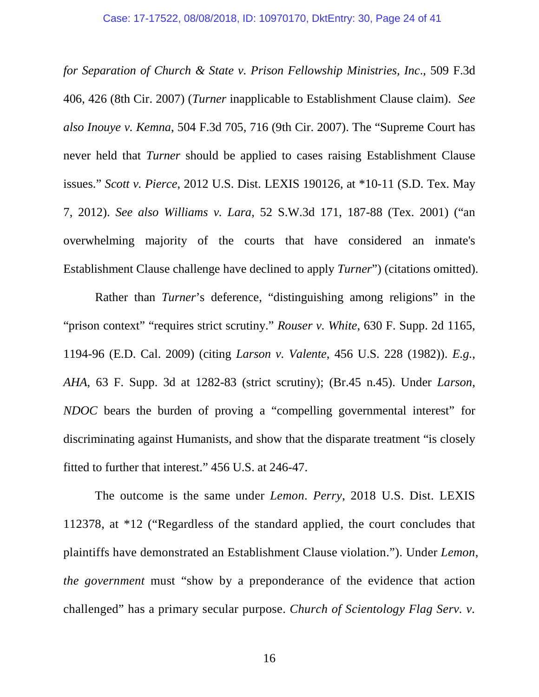*for Separation of Church & State v. Prison Fellowship Ministries, Inc*., 509 F.3d 406, 426 (8th Cir. 2007) (*Turner* inapplicable to Establishment Clause claim). *See also Inouye v. Kemna*, 504 F.3d 705, 716 (9th Cir. 2007). The "Supreme Court has never held that *Turner* should be applied to cases raising Establishment Clause issues." *Scott v. Pierce*, 2012 U.S. Dist. LEXIS 190126, at \*10-11 (S.D. Tex. May 7, 2012). *See also Williams v. Lara*, 52 S.W.3d 171, 187-88 (Tex. 2001) ("an overwhelming majority of the courts that have considered an inmate's Establishment Clause challenge have declined to apply *Turner*") (citations omitted).

Rather than *Turner*'s deference, "distinguishing among religions" in the "prison context" "requires strict scrutiny." *Rouser v. White*, 630 F. Supp. 2d 1165, 1194-96 (E.D. Cal. 2009) (citing *Larson v. Valente*, 456 U.S. 228 (1982)). *E.g.*, *AHA*, 63 F. Supp. 3d at 1282-83 (strict scrutiny); (Br.45 n.45). Under *Larson*, *NDOC* bears the burden of proving a "compelling governmental interest" for discriminating against Humanists, and show that the disparate treatment "is closely fitted to further that interest." 456 U.S. at 246-47.

The outcome is the same under *Lemon*. *Perry*, 2018 U.S. Dist. LEXIS 112378, at \*12 ("Regardless of the standard applied, the court concludes that plaintiffs have demonstrated an Establishment Clause violation."). Under *Lemon*, *the government* must "show by a preponderance of the evidence that action challenged" has a primary secular purpose. *Church of Scientology Flag Serv. v.*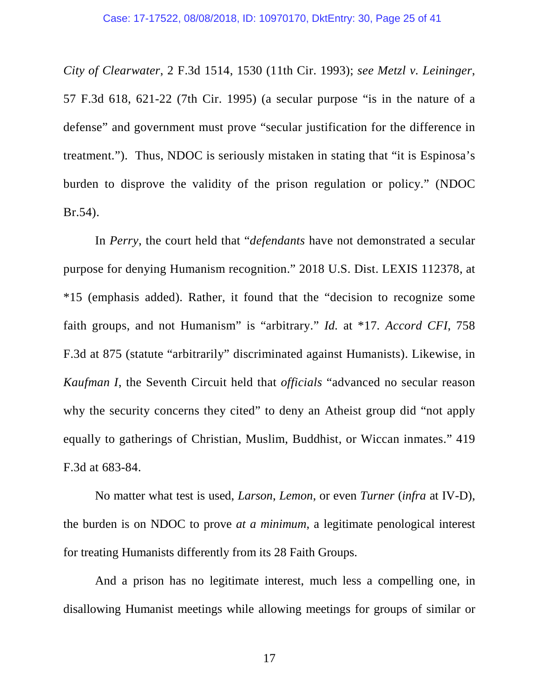*City of Clearwater*, 2 F.3d 1514, 1530 (11th Cir. 1993); *see Metzl v. Leininger*, 57 F.3d 618, 621-22 (7th Cir. 1995) (a secular purpose "is in the nature of a defense" and government must prove "secular justification for the difference in treatment."). Thus, NDOC is seriously mistaken in stating that "it is Espinosa's burden to disprove the validity of the prison regulation or policy." (NDOC Br.54).

In *Perry*, the court held that "*defendants* have not demonstrated a secular purpose for denying Humanism recognition." 2018 U.S. Dist. LEXIS 112378, at \*15 (emphasis added). Rather, it found that the "decision to recognize some faith groups, and not Humanism" is "arbitrary." *Id.* at \*17*. Accord CFI*, 758 F.3d at 875 (statute "arbitrarily" discriminated against Humanists). Likewise, in *Kaufman I*, the Seventh Circuit held that *officials* "advanced no secular reason why the security concerns they cited" to deny an Atheist group did "not apply equally to gatherings of Christian, Muslim, Buddhist, or Wiccan inmates." 419 F.3d at 683-84.

No matter what test is used, *Larson*, *Lemon*, or even *Turner* (*infra* at IV-D), the burden is on NDOC to prove *at a minimum*, a legitimate penological interest for treating Humanists differently from its 28 Faith Groups.

And a prison has no legitimate interest, much less a compelling one, in disallowing Humanist meetings while allowing meetings for groups of similar or

17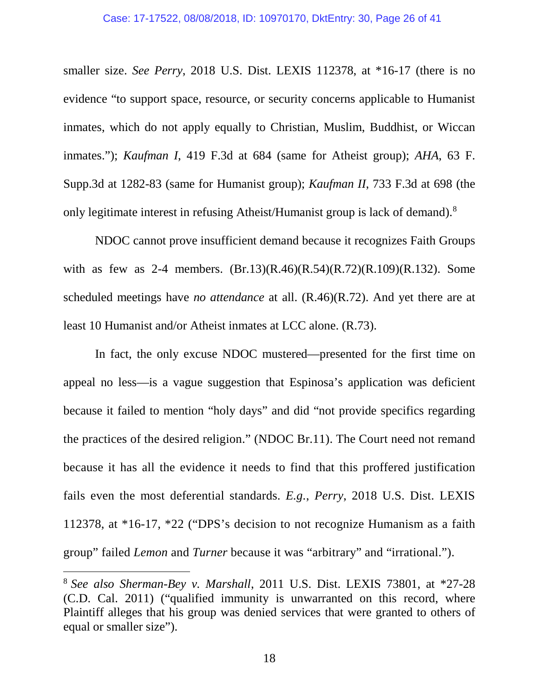#### Case: 17-17522, 08/08/2018, ID: 10970170, DktEntry: 30, Page 26 of 41

smaller size. *See Perry*, 2018 U.S. Dist. LEXIS 112378, at \*16-17 (there is no evidence "to support space, resource, or security concerns applicable to Humanist inmates, which do not apply equally to Christian, Muslim, Buddhist, or Wiccan inmates."); *Kaufman I*, 419 F.3d at 684 (same for Atheist group); *AHA*, 63 F. Supp.3d at 1282-83 (same for Humanist group); *Kaufman II*, 733 F.3d at 698 (the only legitimate interest in refusing Atheist/Humanist group is lack of demand).[8](#page-25-0)

NDOC cannot prove insufficient demand because it recognizes Faith Groups with as few as 2-4 members. (Br.13)(R.46)(R.54)(R.72)(R.109)(R.132). Some scheduled meetings have *no attendance* at all. (R.46)(R.72). And yet there are at least 10 Humanist and/or Atheist inmates at LCC alone. (R.73).

In fact, the only excuse NDOC mustered—presented for the first time on appeal no less—is a vague suggestion that Espinosa's application was deficient because it failed to mention "holy days" and did "not provide specifics regarding the practices of the desired religion." (NDOC Br.11). The Court need not remand because it has all the evidence it needs to find that this proffered justification fails even the most deferential standards. *E.g.*, *Perry*, 2018 U.S. Dist. LEXIS 112378, at \*16-17, \*22 ("DPS's decision to not recognize Humanism as a faith group" failed *Lemon* and *Turner* because it was "arbitrary" and "irrational.").

 $\overline{a}$ 

<span id="page-25-0"></span><sup>8</sup> *See also Sherman-Bey v. Marshall*, 2011 U.S. Dist. LEXIS 73801, at \*27-28 (C.D. Cal. 2011) ("qualified immunity is unwarranted on this record, where Plaintiff alleges that his group was denied services that were granted to others of equal or smaller size").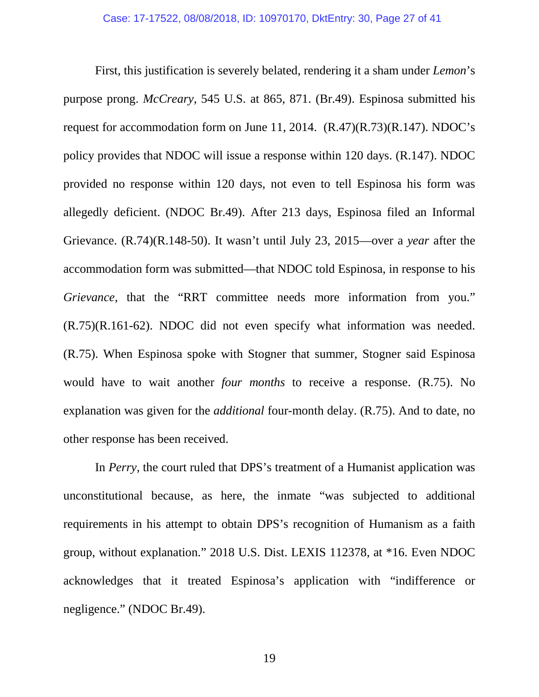First, this justification is severely belated, rendering it a sham under *Lemon*'s purpose prong. *McCreary*, 545 U.S. at 865, 871. (Br.49). Espinosa submitted his request for accommodation form on June 11, 2014.  $(R.47)(R.73)(R.147)$ . NDOC's policy provides that NDOC will issue a response within 120 days. (R.147). NDOC provided no response within 120 days, not even to tell Espinosa his form was allegedly deficient. (NDOC Br.49). After 213 days, Espinosa filed an Informal Grievance. (R.74)(R.148-50). It wasn't until July 23, 2015—over a *year* after the accommodation form was submitted—that NDOC told Espinosa, in response to his *Grievance*, that the "RRT committee needs more information from you." (R.75)(R.161-62). NDOC did not even specify what information was needed. (R.75). When Espinosa spoke with Stogner that summer, Stogner said Espinosa would have to wait another *four months* to receive a response. (R.75). No explanation was given for the *additional* four-month delay. (R.75). And to date, no other response has been received.

In *Perry*, the court ruled that DPS's treatment of a Humanist application was unconstitutional because, as here, the inmate "was subjected to additional requirements in his attempt to obtain DPS's recognition of Humanism as a faith group, without explanation." 2018 U.S. Dist. LEXIS 112378, at \*16. Even NDOC acknowledges that it treated Espinosa's application with "indifference or negligence." (NDOC Br.49).

19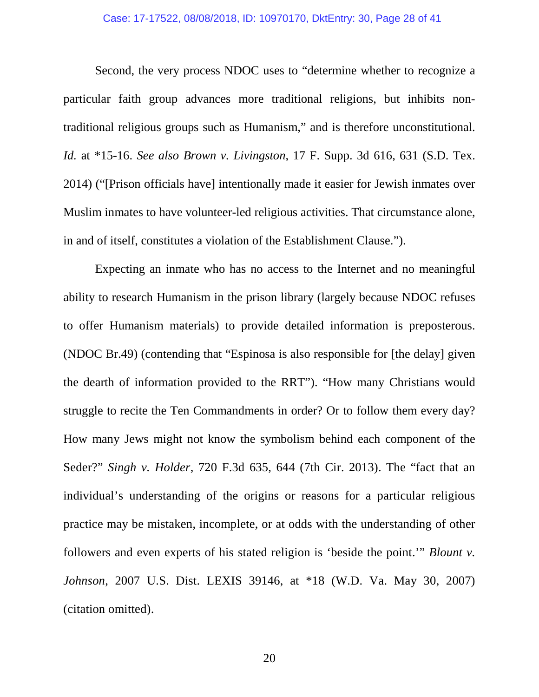#### Case: 17-17522, 08/08/2018, ID: 10970170, DktEntry: 30, Page 28 of 41

Second, the very process NDOC uses to "determine whether to recognize a particular faith group advances more traditional religions, but inhibits nontraditional religious groups such as Humanism," and is therefore unconstitutional. *Id.* at \*15-16. *See also Brown v. Livingston*, 17 F. Supp. 3d 616, 631 (S.D. Tex. 2014) ("[Prison officials have] intentionally made it easier for Jewish inmates over Muslim inmates to have volunteer-led religious activities. That circumstance alone, in and of itself, constitutes a violation of the Establishment Clause.").

Expecting an inmate who has no access to the Internet and no meaningful ability to research Humanism in the prison library (largely because NDOC refuses to offer Humanism materials) to provide detailed information is preposterous. (NDOC Br.49) (contending that "Espinosa is also responsible for [the delay] given the dearth of information provided to the RRT"). "How many Christians would struggle to recite the Ten Commandments in order? Or to follow them every day? How many Jews might not know the symbolism behind each component of the Seder?" *Singh v. Holder*, 720 F.3d 635, 644 (7th Cir. 2013). The "fact that an individual's understanding of the origins or reasons for a particular religious practice may be mistaken, incomplete, or at odds with the understanding of other followers and even experts of his stated religion is 'beside the point.'" *Blount v. Johnson*, 2007 U.S. Dist. LEXIS 39146, at \*18 (W.D. Va. May 30, 2007) (citation omitted).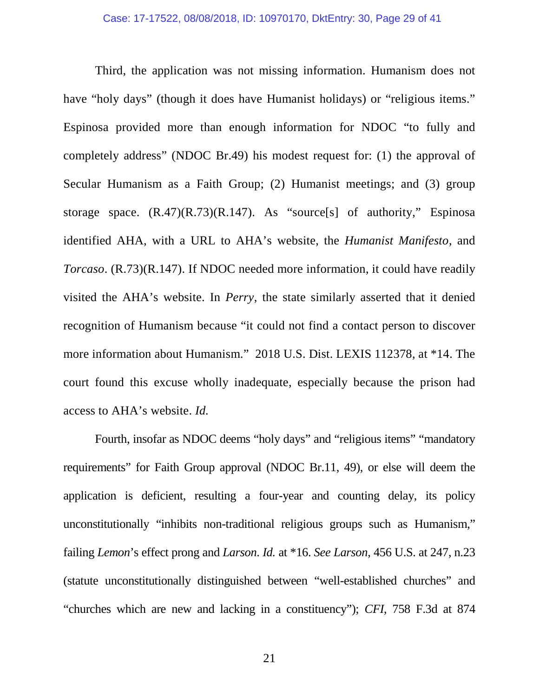Third, the application was not missing information. Humanism does not have "holy days" (though it does have Humanist holidays) or "religious items." Espinosa provided more than enough information for NDOC "to fully and completely address" (NDOC Br.49) his modest request for: (1) the approval of Secular Humanism as a Faith Group; (2) Humanist meetings; and (3) group storage space. (R.47)(R.73)(R.147). As "source[s] of authority," Espinosa identified AHA, with a URL to AHA's website, the *Humanist Manifesto*, and *Torcaso*. (R.73)(R.147). If NDOC needed more information, it could have readily visited the AHA's website. In *Perry*, the state similarly asserted that it denied recognition of Humanism because "it could not find a contact person to discover more information about Humanism." 2018 U.S. Dist. LEXIS 112378, at \*14. The court found this excuse wholly inadequate, especially because the prison had access to AHA's website. *Id.* 

Fourth, insofar as NDOC deems "holy days" and "religious items" "mandatory requirements" for Faith Group approval (NDOC Br.11, 49), or else will deem the application is deficient, resulting a four-year and counting delay, its policy unconstitutionally "inhibits non-traditional religious groups such as Humanism," failing *Lemon*'s effect prong and *Larson*. *Id.* at \*16. *See Larson*, 456 U.S. at 247, n.23 (statute unconstitutionally distinguished between "well-established churches" and "churches which are new and lacking in a constituency"); *CFI*, 758 F.3d at 874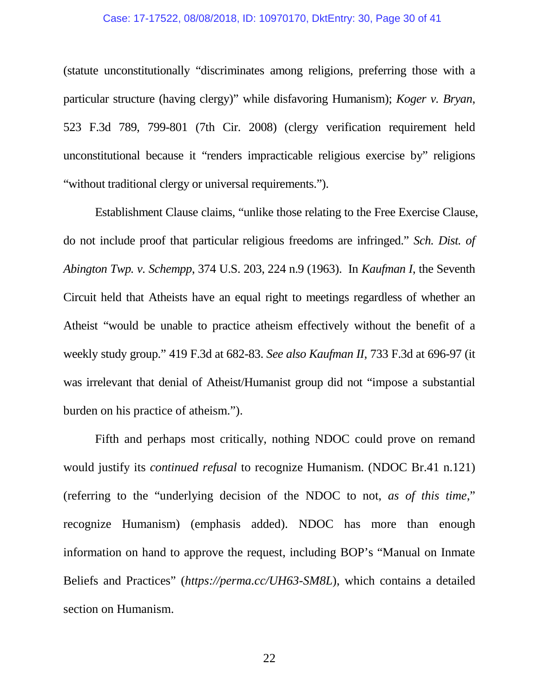#### Case: 17-17522, 08/08/2018, ID: 10970170, DktEntry: 30, Page 30 of 41

(statute unconstitutionally "discriminates among religions, preferring those with a particular structure (having clergy)" while disfavoring Humanism); *Koger v. Bryan*, 523 F.3d 789, 799-801 (7th Cir. 2008) (clergy verification requirement held unconstitutional because it "renders impracticable religious exercise by" religions "without traditional clergy or universal requirements.").

Establishment Clause claims, "unlike those relating to the Free Exercise Clause, do not include proof that particular religious freedoms are infringed." *Sch. Dist. of Abington Twp. v. Schempp*, 374 U.S. 203, 224 n.9 (1963). In *Kaufman I*, the Seventh Circuit held that Atheists have an equal right to meetings regardless of whether an Atheist "would be unable to practice atheism effectively without the benefit of a weekly study group." 419 F.3d at 682-83. *See also Kaufman II*, 733 F.3d at 696-97 (it was irrelevant that denial of Atheist/Humanist group did not "impose a substantial burden on his practice of atheism.").

Fifth and perhaps most critically, nothing NDOC could prove on remand would justify its *continued refusal* to recognize Humanism. (NDOC Br.41 n.121) (referring to the "underlying decision of the NDOC to not, *as of this time*," recognize Humanism) (emphasis added). NDOC has more than enough information on hand to approve the request, including BOP's "Manual on Inmate Beliefs and Practices" (*https://perma.cc/UH63-SM8L*), which contains a detailed section on Humanism.

22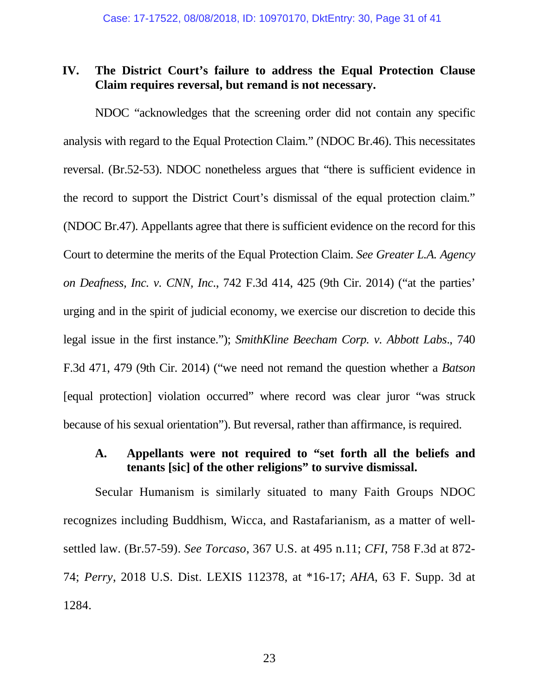#### <span id="page-30-0"></span>**IV. The District Court's failure to address the Equal Protection Clause Claim requires reversal, but remand is not necessary.**

NDOC "acknowledges that the screening order did not contain any specific analysis with regard to the Equal Protection Claim." (NDOC Br.46). This necessitates reversal. (Br.52-53). NDOC nonetheless argues that "there is sufficient evidence in the record to support the District Court's dismissal of the equal protection claim." (NDOC Br.47). Appellants agree that there is sufficient evidence on the record for this Court to determine the merits of the Equal Protection Claim. *See Greater L.A. Agency on Deafness, Inc. v. CNN, Inc*., 742 F.3d 414, 425 (9th Cir. 2014) ("at the parties' urging and in the spirit of judicial economy, we exercise our discretion to decide this legal issue in the first instance."); *SmithKline Beecham Corp. v. Abbott Labs*., 740 F.3d 471, 479 (9th Cir. 2014) ("we need not remand the question whether a *Batson* [equal protection] violation occurred" where record was clear juror "was struck because of his sexual orientation"). But reversal, rather than affirmance, is required.

#### <span id="page-30-1"></span>**A. Appellants were not required to "set forth all the beliefs and tenants [sic] of the other religions" to survive dismissal.**

Secular Humanism is similarly situated to many Faith Groups NDOC recognizes including Buddhism, Wicca, and Rastafarianism, as a matter of wellsettled law. (Br.57-59). *See Torcaso*, 367 U.S. at 495 n.11; *CFI*, 758 F.3d at 872- 74; *Perry*, 2018 U.S. Dist. LEXIS 112378, at \*16-17; *AHA*, 63 F. Supp. 3d at 1284.

23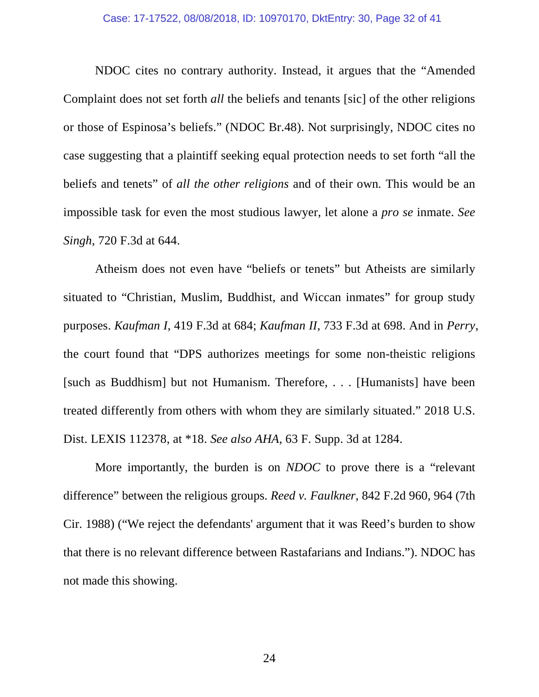NDOC cites no contrary authority. Instead, it argues that the "Amended Complaint does not set forth *all* the beliefs and tenants [sic] of the other religions or those of Espinosa's beliefs." (NDOC Br.48). Not surprisingly, NDOC cites no case suggesting that a plaintiff seeking equal protection needs to set forth "all the beliefs and tenets" of *all the other religions* and of their own*.* This would be an impossible task for even the most studious lawyer, let alone a *pro se* inmate. *See Singh*, 720 F.3d at 644.

Atheism does not even have "beliefs or tenets" but Atheists are similarly situated to "Christian, Muslim, Buddhist, and Wiccan inmates" for group study purposes. *Kaufman I*, 419 F.3d at 684; *Kaufman II*, 733 F.3d at 698. And in *Perry*, the court found that "DPS authorizes meetings for some non-theistic religions [such as Buddhism] but not Humanism. Therefore, . . . [Humanists] have been treated differently from others with whom they are similarly situated." 2018 U.S. Dist. LEXIS 112378, at \*18. *See also AHA*, 63 F. Supp. 3d at 1284.

More importantly, the burden is on *NDOC* to prove there is a "relevant difference" between the religious groups. *Reed v. Faulkner*, 842 F.2d 960, 964 (7th Cir. 1988) ("We reject the defendants' argument that it was Reed's burden to show that there is no relevant difference between Rastafarians and Indians."). NDOC has not made this showing.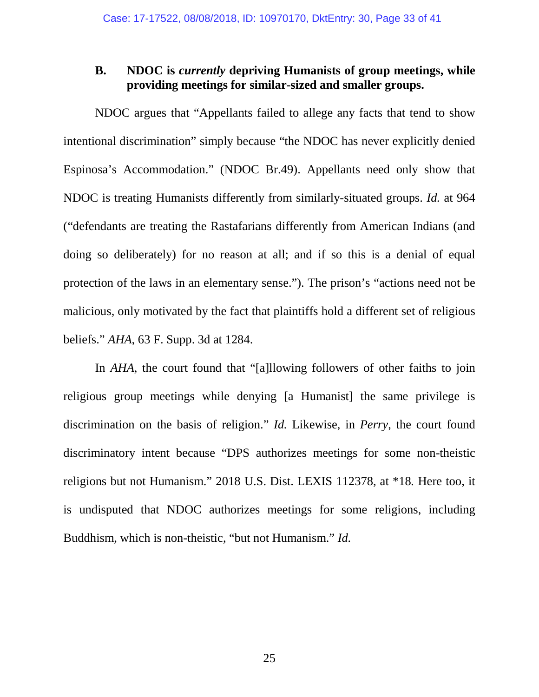#### <span id="page-32-0"></span>**B. NDOC is** *currently* **depriving Humanists of group meetings, while providing meetings for similar-sized and smaller groups.**

NDOC argues that "Appellants failed to allege any facts that tend to show intentional discrimination" simply because "the NDOC has never explicitly denied Espinosa's Accommodation." (NDOC Br.49). Appellants need only show that NDOC is treating Humanists differently from similarly-situated groups. *Id.* at 964 ("defendants are treating the Rastafarians differently from American Indians (and doing so deliberately) for no reason at all; and if so this is a denial of equal protection of the laws in an elementary sense."). The prison's "actions need not be malicious, only motivated by the fact that plaintiffs hold a different set of religious beliefs." *AHA*, 63 F. Supp. 3d at 1284.

In *AHA*, the court found that "[a]llowing followers of other faiths to join religious group meetings while denying [a Humanist] the same privilege is discrimination on the basis of religion." *Id.* Likewise, in *Perry*, the court found discriminatory intent because "DPS authorizes meetings for some non-theistic religions but not Humanism." 2018 U.S. Dist. LEXIS 112378, at \*18*.* Here too, it is undisputed that NDOC authorizes meetings for some religions, including Buddhism, which is non-theistic, "but not Humanism." *Id.*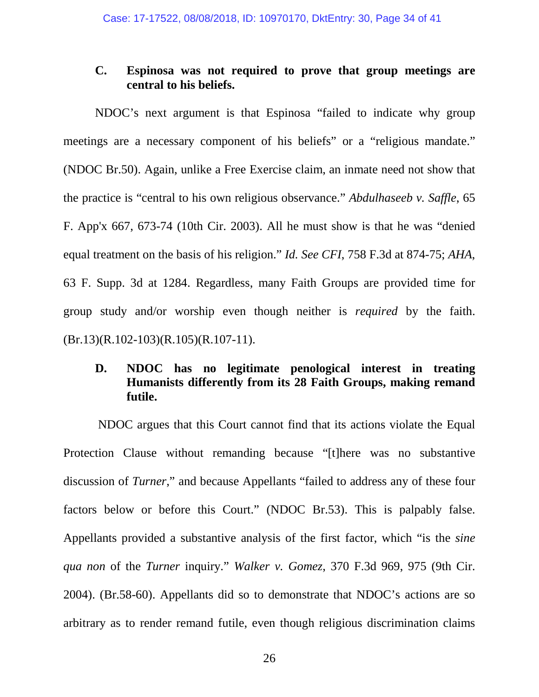#### <span id="page-33-0"></span>**C. Espinosa was not required to prove that group meetings are central to his beliefs.**

 NDOC's next argument is that Espinosa "failed to indicate why group meetings are a necessary component of his beliefs" or a "religious mandate." (NDOC Br.50). Again, unlike a Free Exercise claim, an inmate need not show that the practice is "central to his own religious observance." *Abdulhaseeb v. Saffle*, 65 F. App'x 667, 673-74 (10th Cir. 2003). All he must show is that he was "denied equal treatment on the basis of his religion." *Id. See CFI*, 758 F.3d at 874-75; *AHA*, 63 F. Supp. 3d at 1284. Regardless, many Faith Groups are provided time for group study and/or worship even though neither is *required* by the faith.  $(Br.13)(R.102-103)(R.105)(R.107-11).$ 

#### <span id="page-33-1"></span>**D. NDOC has no legitimate penological interest in treating Humanists differently from its 28 Faith Groups, making remand futile.**

NDOC argues that this Court cannot find that its actions violate the Equal Protection Clause without remanding because "[t]here was no substantive discussion of *Turner*," and because Appellants "failed to address any of these four factors below or before this Court." (NDOC Br.53). This is palpably false. Appellants provided a substantive analysis of the first factor, which "is the *sine qua non* of the *Turner* inquiry." *Walker v. Gomez*, 370 F.3d 969, 975 (9th Cir. 2004). (Br.58-60). Appellants did so to demonstrate that NDOC's actions are so arbitrary as to render remand futile, even though religious discrimination claims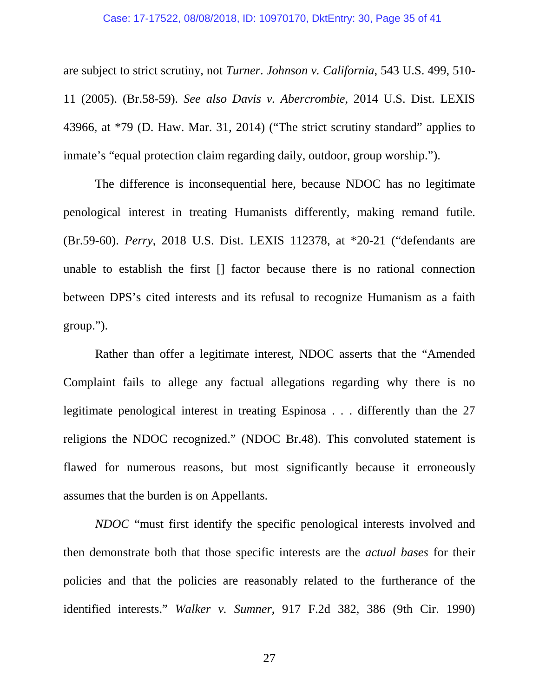#### Case: 17-17522, 08/08/2018, ID: 10970170, DktEntry: 30, Page 35 of 41

are subject to strict scrutiny, not *Turner*. *Johnson v. California*, 543 U.S. 499, 510- 11 (2005). (Br.58-59). *See also Davis v. Abercrombie*, 2014 U.S. Dist. LEXIS 43966, at \*79 (D. Haw. Mar. 31, 2014) ("The strict scrutiny standard" applies to inmate's "equal protection claim regarding daily, outdoor, group worship.").

The difference is inconsequential here, because NDOC has no legitimate penological interest in treating Humanists differently, making remand futile. (Br.59-60). *Perry*, 2018 U.S. Dist. LEXIS 112378, at \*20-21 ("defendants are unable to establish the first [] factor because there is no rational connection between DPS's cited interests and its refusal to recognize Humanism as a faith group.").

Rather than offer a legitimate interest, NDOC asserts that the "Amended Complaint fails to allege any factual allegations regarding why there is no legitimate penological interest in treating Espinosa . . . differently than the 27 religions the NDOC recognized." (NDOC Br.48). This convoluted statement is flawed for numerous reasons, but most significantly because it erroneously assumes that the burden is on Appellants.

*NDOC* "must first identify the specific penological interests involved and then demonstrate both that those specific interests are the *actual bases* for their policies and that the policies are reasonably related to the furtherance of the identified interests." *Walker v. Sumner*, 917 F.2d 382, 386 (9th Cir. 1990)

27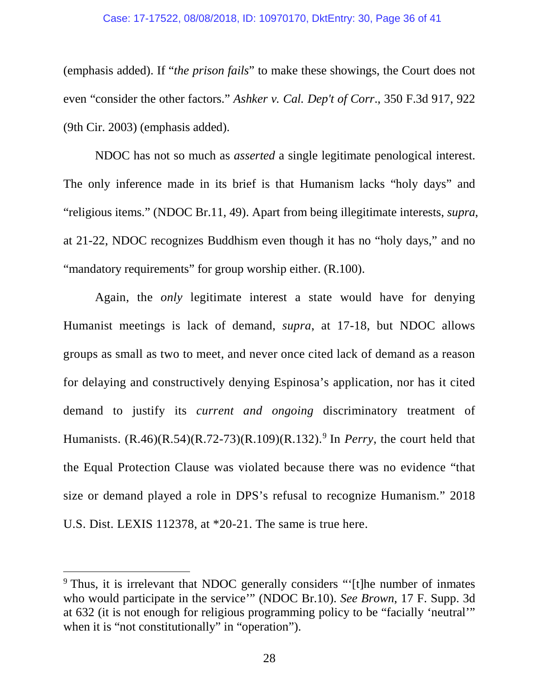#### Case: 17-17522, 08/08/2018, ID: 10970170, DktEntry: 30, Page 36 of 41

(emphasis added). If "*the prison fails*" to make these showings, the Court does not even "consider the other factors." *Ashker v. Cal. Dep't of Corr*., 350 F.3d 917, 922 (9th Cir. 2003) (emphasis added).

NDOC has not so much as *asserted* a single legitimate penological interest. The only inference made in its brief is that Humanism lacks "holy days" and "religious items." (NDOC Br.11, 49). Apart from being illegitimate interests, *supra*, at 21-22, NDOC recognizes Buddhism even though it has no "holy days," and no "mandatory requirements" for group worship either. (R.100).

Again, the *only* legitimate interest a state would have for denying Humanist meetings is lack of demand, *supra*, at 17-18, but NDOC allows groups as small as two to meet, and never once cited lack of demand as a reason for delaying and constructively denying Espinosa's application, nor has it cited demand to justify its *current and ongoing* discriminatory treatment of Humanists. (R.46)(R.54)(R.72-73)(R.109)(R.132).[9](#page-35-0) In *Perry*, the court held that the Equal Protection Clause was violated because there was no evidence "that size or demand played a role in DPS's refusal to recognize Humanism." 2018 U.S. Dist. LEXIS 112378, at \*20-21. The same is true here.

 $\overline{a}$ 

<span id="page-35-0"></span><sup>9</sup> Thus, it is irrelevant that NDOC generally considers "'[t]he number of inmates who would participate in the service'" (NDOC Br.10). *See Brown*, 17 F. Supp. 3d at 632 (it is not enough for religious programming policy to be "facially 'neutral'" when it is "not constitutionally" in "operation").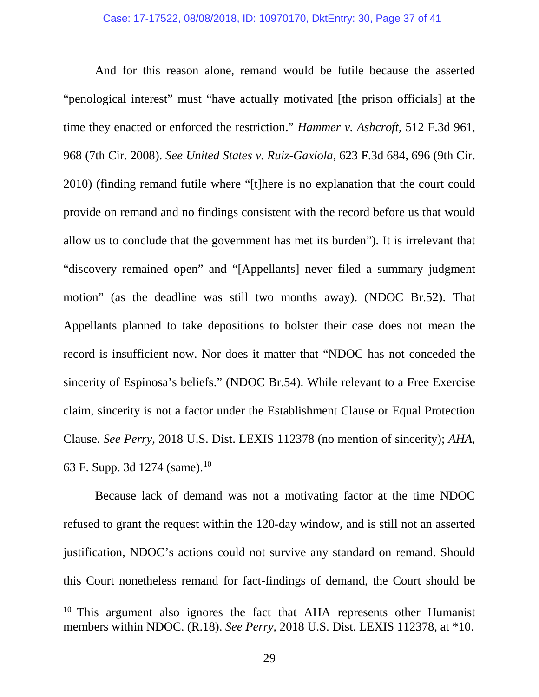And for this reason alone, remand would be futile because the asserted "penological interest" must "have actually motivated [the prison officials] at the time they enacted or enforced the restriction." *Hammer v. Ashcroft*, 512 F.3d 961, 968 (7th Cir. 2008). *See United States v. Ruiz-Gaxiola*, 623 F.3d 684, 696 (9th Cir. 2010) (finding remand futile where "[t]here is no explanation that the court could provide on remand and no findings consistent with the record before us that would allow us to conclude that the government has met its burden"). It is irrelevant that "discovery remained open" and "[Appellants] never filed a summary judgment motion" (as the deadline was still two months away). (NDOC Br.52). That Appellants planned to take depositions to bolster their case does not mean the record is insufficient now. Nor does it matter that "NDOC has not conceded the sincerity of Espinosa's beliefs." (NDOC Br.54). While relevant to a Free Exercise claim, sincerity is not a factor under the Establishment Clause or Equal Protection Clause. *See Perry*, 2018 U.S. Dist. LEXIS 112378 (no mention of sincerity); *AHA*, 63 F. Supp. 3d 1274 (same).<sup>[10](#page-36-0)</sup>

Because lack of demand was not a motivating factor at the time NDOC refused to grant the request within the 120-day window, and is still not an asserted justification, NDOC's actions could not survive any standard on remand. Should this Court nonetheless remand for fact-findings of demand, the Court should be

 $\overline{a}$ 

<span id="page-36-0"></span><sup>&</sup>lt;sup>10</sup> This argument also ignores the fact that AHA represents other Humanist members within NDOC. (R.18). *See Perry*, 2018 U.S. Dist. LEXIS 112378, at \*10.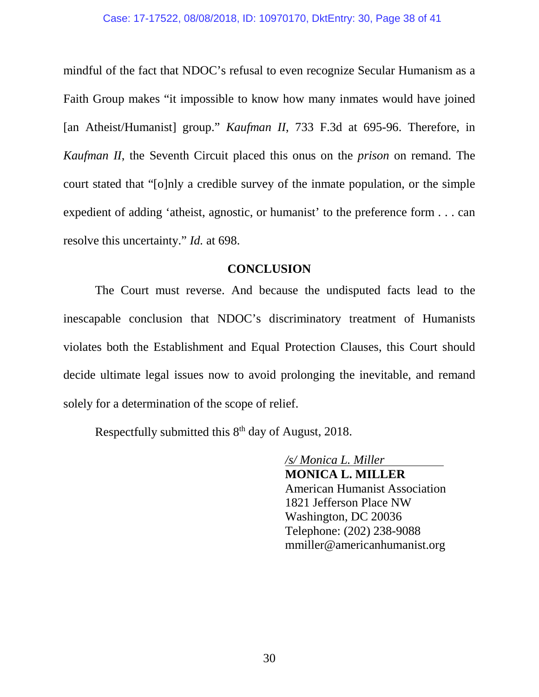mindful of the fact that NDOC's refusal to even recognize Secular Humanism as a Faith Group makes "it impossible to know how many inmates would have joined [an Atheist/Humanist] group." *Kaufman II*, 733 F.3d at 695-96. Therefore, in *Kaufman II*, the Seventh Circuit placed this onus on the *prison* on remand. The court stated that "[o]nly a credible survey of the inmate population, or the simple expedient of adding 'atheist, agnostic, or humanist' to the preference form . . . can resolve this uncertainty." *Id.* at 698.

#### **CONCLUSION**

<span id="page-37-0"></span>The Court must reverse. And because the undisputed facts lead to the inescapable conclusion that NDOC's discriminatory treatment of Humanists violates both the Establishment and Equal Protection Clauses, this Court should decide ultimate legal issues now to avoid prolonging the inevitable, and remand solely for a determination of the scope of relief.

Respectfully submitted this  $8<sup>th</sup>$  day of August, 2018.

 */s/ Monica L. Miller*  **MONICA L. MILLER** American Humanist Association 1821 Jefferson Place NW Washington, DC 20036 Telephone: (202) 238-9088 mmiller@americanhumanist.org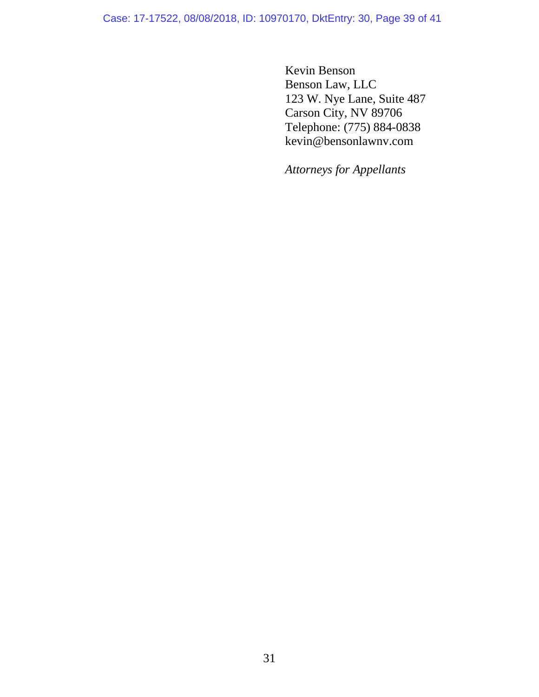Case: 17-17522, 08/08/2018, ID: 10970170, DktEntry: 30, Page 39 of 41

Kevin Benson Benson Law, LLC 123 W. Nye Lane, Suite 487 Carson City, NV 89706 Telephone: (775) 884-0838 kevin@bensonlawnv.com

*Attorneys for Appellants*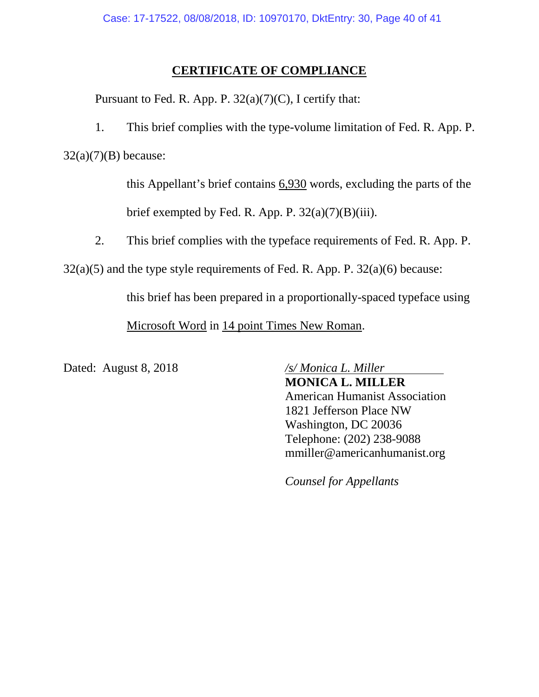### **CERTIFICATE OF COMPLIANCE**

Pursuant to Fed. R. App. P.  $32(a)(7)(C)$ , I certify that:

1. This brief complies with the type-volume limitation of Fed. R. App. P.  $32(a)(7)(B)$  because:

> this Appellant's brief contains 6,930 words, excluding the parts of the brief exempted by Fed. R. App. P. 32(a)(7)(B)(iii).

2. This brief complies with the typeface requirements of Fed. R. App. P.

 $32(a)(5)$  and the type style requirements of Fed. R. App. P.  $32(a)(6)$  because:

this brief has been prepared in a proportionally-spaced typeface using

Microsoft Word in 14 point Times New Roman.

Dated: August 8, 2018 */s/ Monica L. Miller*

**MONICA L. MILLER** American Humanist Association 1821 Jefferson Place NW Washington, DC 20036 Telephone: (202) 238-9088 mmiller@americanhumanist.org

*Counsel for Appellants*